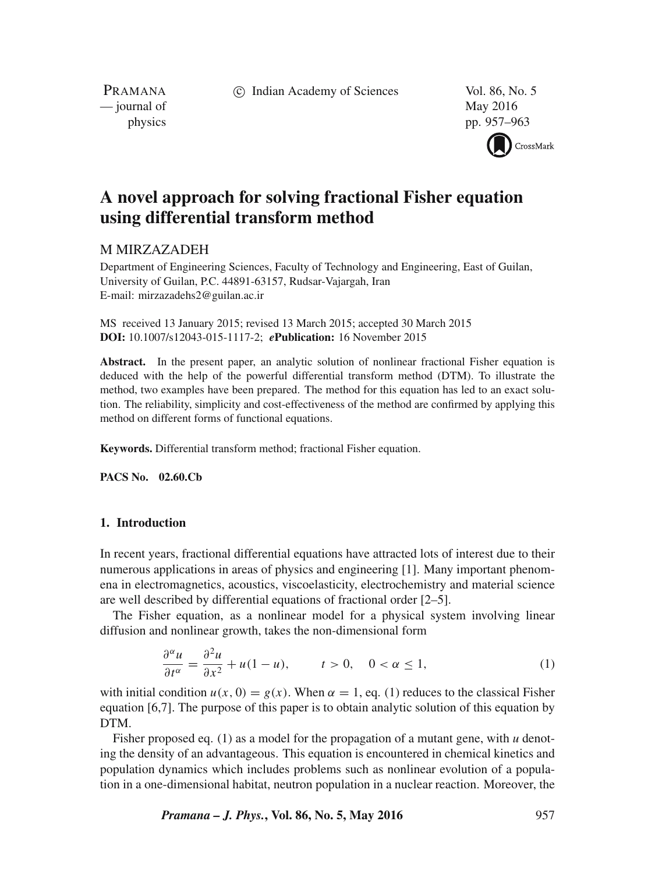c Indian Academy of Sciences Vol. 86, No. 5

PRAMANA — journal of May 2016

physics pp. 957–963



# **A novel approach for solving fractional Fisher equation using differential transform method**

# M MIRZAZADEH

Department of Engineering Sciences, Faculty of Technology and Engineering, East of Guilan, University of Guilan, P.C. 44891-63157, Rudsar-Vajargah, Iran E-mail: mirzazadehs2@guilan.ac.ir

MS received 13 January 2015; revised 13 March 2015; accepted 30 March 2015 **DOI:** 10.1007/s12043-015-1117-2; *e***Publication:** 16 November 2015

Abstract. In the present paper, an analytic solution of nonlinear fractional Fisher equation is deduced with the help of the powerful differential transform method (DTM). To illustrate the method, two examples have been prepared. The method for this equation has led to an exact solution. The reliability, simplicity and cost-effectiveness of the method are confirmed by applying this method on different forms of functional equations.

**Keywords.** Differential transform method; fractional Fisher equation.

**PACS No. 02.60.Cb**

# **1. Introduction**

In recent years, fractional differential equations have attracted lots of interest due to their numerous applications in areas of physics and engineering [1]. Many important phenomena in electromagnetics, acoustics, viscoelasticity, electrochemistry and material science are well described by differential equations of fractional order [2–5].

The Fisher equation, as a nonlinear model for a physical system involving linear diffusion and nonlinear growth, takes the non-dimensional form

$$
\frac{\partial^{\alpha} u}{\partial t^{\alpha}} = \frac{\partial^2 u}{\partial x^2} + u(1 - u), \qquad t > 0, \quad 0 < \alpha \le 1,
$$
 (1)

with initial condition  $u(x, 0) = g(x)$ . When  $\alpha = 1$ , eq. (1) reduces to the classical Fisher equation [6,7]. The purpose of this paper is to obtain analytic solution of this equation by DTM.

Fisher proposed eq. (1) as a model for the propagation of a mutant gene, with *u* denoting the density of an advantageous. This equation is encountered in chemical kinetics and population dynamics which includes problems such as nonlinear evolution of a population in a one-dimensional habitat, neutron population in a nuclear reaction. Moreover, the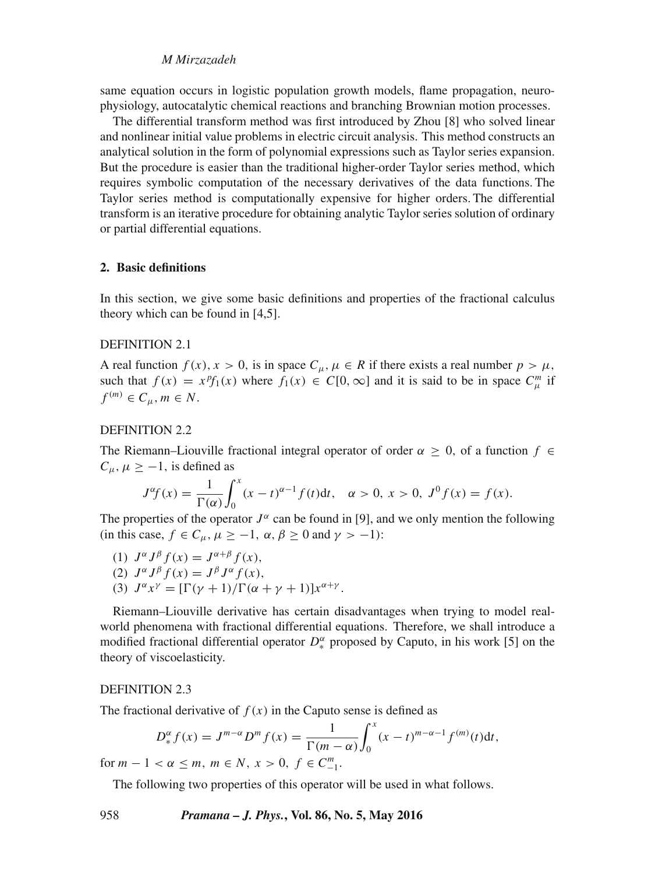# *M Mirzazadeh*

same equation occurs in logistic population growth models, flame propagation, neurophysiology, autocatalytic chemical reactions and branching Brownian motion processes.

The differential transform method was first introduced by Zhou [8] who solved linear and nonlinear initial value problems in electric circuit analysis. This method constructs an analytical solution in the form of polynomial expressions such as Taylor series expansion. But the procedure is easier than the traditional higher-order Taylor series method, which requires symbolic computation of the necessary derivatives of the data functions. The Taylor series method is computationally expensive for higher orders. The differential transform is an iterative procedure for obtaining analytic Taylor series solution of ordinary or partial differential equations.

## **2. Basic definitions**

In this section, we give some basic definitions and properties of the fractional calculus theory which can be found in [4,5].

# DEFINITION 2.1

A real function  $f(x)$ ,  $x > 0$ , is in space  $C_{\mu}$ ,  $\mu \in R$  if there exists a real number  $p > \mu$ , such that  $f(x) = x^p f_1(x)$  where  $f_1(x) \in C[0, \infty]$  and it is said to be in space  $C_{\mu}^m$  if  $f^{(m)} \in C_u$ ,  $m \in N$ .

# DEFINITION 2.2

The Riemann–Liouville fractional integral operator of order  $\alpha \geq 0$ , of a function  $f \in$  $C_{\mu}$ ,  $\mu \ge -1$ , is defined as

$$
J^{\alpha}f(x) = \frac{1}{\Gamma(\alpha)} \int_0^x (x - t)^{\alpha - 1} f(t) dt, \quad \alpha > 0, \ x > 0, \ J^0 f(x) = f(x).
$$

The properties of the operator  $J^{\alpha}$  can be found in [9], and we only mention the following<br>(in this case,  $f \in C$ ,  $\mu > -1$ ,  $\alpha$ ,  $\beta > 0$  and  $\gamma > -1$ ). (in this case,  $f \in C_{\mu}$ ,  $\mu \ge -1$ ,  $\alpha$ ,  $\beta \ge 0$  and  $\gamma > -1$ ):<br>(1)  $J^{\alpha} J^{\beta} f(x) = J^{\alpha+\beta} f(x)$ .

(1)  $J^{\alpha}J^{\beta}f(x) = J^{\alpha+\beta}f(x),$ <br>(2)  $I^{\alpha}I^{\beta}f(x) = I^{\beta}I^{\alpha}f(x)$ (2)  $J^{\alpha}J^{\beta}f(x) = J^{\beta}J^{\alpha}f(x),$ <br>(3)  $I^{\alpha}r^{\gamma} - \Gamma[\gamma + 1]/\Gamma(\alpha + \gamma)$ (3)  $J^{\alpha}x^{\gamma} = [\Gamma(\gamma + 1)/\Gamma(\alpha + \gamma + 1)]x^{\alpha + \gamma}$ .

Riemann–Liouville derivative has certain disadvantages when trying to model realworld phenomena with fractional differential equations. Therefore, we shall introduce a modified fractional differential operator  $D_*^{\alpha}$  proposed by Caputo, in his work [5] on the theory of viscoelasticity theory of viscoelasticity.

#### DEFINITION 2.3

The fractional derivative of  $f(x)$  in the Caputo sense is defined as

$$
D_{*}^{\alpha} f(x) = J^{m-\alpha} D^{m} f(x) = \frac{1}{\Gamma(m-\alpha)} \int_{0}^{x} (x-t)^{m-\alpha-1} f^{(m)}(t) dt,
$$

for  $m - 1 < \alpha \le m$ ,  $m \in N$ ,  $x > 0$ ,  $f \in C_{-1}^{m}$ .

The following two properties of this operator will be used in what follows.

958 *Pramana – J. Phys.***, Vol. 86, No. 5, May 2016**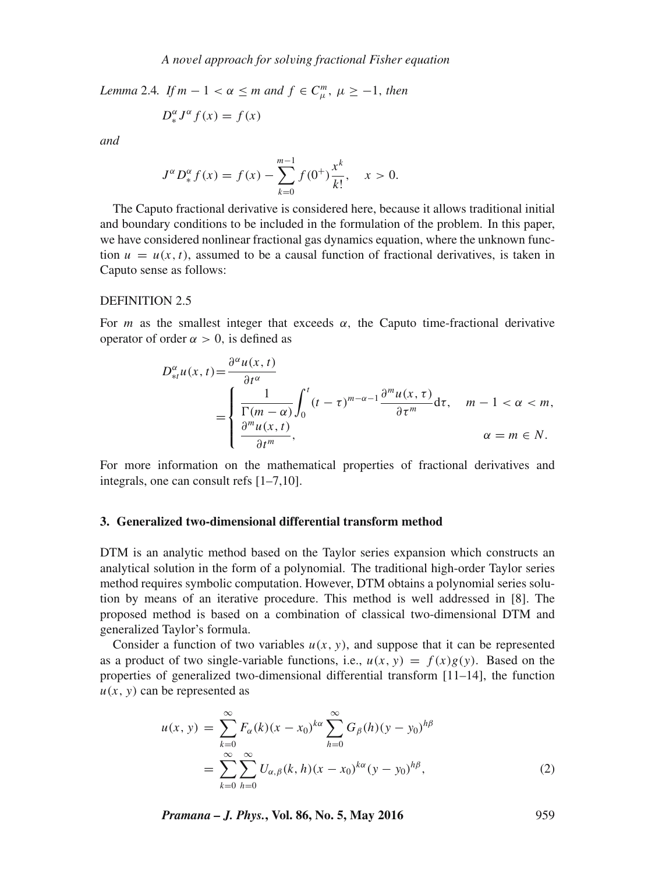*Lemma* 2.4*. If*  $m - 1 < \alpha \le m$  *and*  $f \in C_{\mu}^{m}$ ,  $\mu \ge -1$ , *then* 

$$
D_{*}^{\alpha}J^{\alpha}f(x) = f(x)
$$

*and*

$$
J^{\alpha}D_{*}^{\alpha}f(x) = f(x) - \sum_{k=0}^{m-1} f(0^{+})\frac{x^{k}}{k!}, \quad x > 0.
$$

The Caputo fractional derivative is considered here, because it allows traditional initial and boundary conditions to be included in the formulation of the problem. In this paper, we have considered nonlinear fractional gas dynamics equation, where the unknown function  $u = u(x, t)$ , assumed to be a causal function of fractional derivatives, is taken in Caputo sense as follows:

#### DEFINITION 2.5

For *m* as the smallest integer that exceeds  $\alpha$ , the Caputo time-fractional derivative operator of order  $\alpha > 0$ , is defined as

$$
D_{\ast t}^{\alpha}u(x,t) = \frac{\partial^{\alpha}u(x,t)}{\partial t^{\alpha}} = \begin{cases} \frac{1}{\Gamma(m-\alpha)} \int_{0}^{t} (t-\tau)^{m-\alpha-1} \frac{\partial^{m}u(x,\tau)}{\partial \tau^{m}} d\tau, & m-1 < \alpha < m, \\ \frac{\partial^{m}u(x,t)}{\partial t^{m}}, & \alpha = m \in N. \end{cases}
$$

For more information on the mathematical properties of fractional derivatives and integrals, one can consult refs [1–7,10].

# **3. Generalized two-dimensional differential transform method**

DTM is an analytic method based on the Taylor series expansion which constructs an analytical solution in the form of a polynomial. The traditional high-order Taylor series method requires symbolic computation. However, DTM obtains a polynomial series solution by means of an iterative procedure. This method is well addressed in [8]. The proposed method is based on a combination of classical two-dimensional DTM and generalized Taylor's formula.

Consider a function of two variables  $u(x, y)$ , and suppose that it can be represented as a product of two single-variable functions, i.e.,  $u(x, y) = f(x)g(y)$ . Based on the properties of generalized two-dimensional differential transform [11–14], the function  $u(x, y)$  can be represented as

$$
u(x, y) = \sum_{k=0}^{\infty} F_{\alpha}(k)(x - x_0)^{k\alpha} \sum_{h=0}^{\infty} G_{\beta}(h)(y - y_0)^{h\beta}
$$
  
= 
$$
\sum_{k=0}^{\infty} \sum_{h=0}^{\infty} U_{\alpha, \beta}(k, h)(x - x_0)^{k\alpha} (y - y_0)^{h\beta},
$$
 (2)

*Pramana – J. Phys.***, Vol. 86, No. 5, May 2016** 959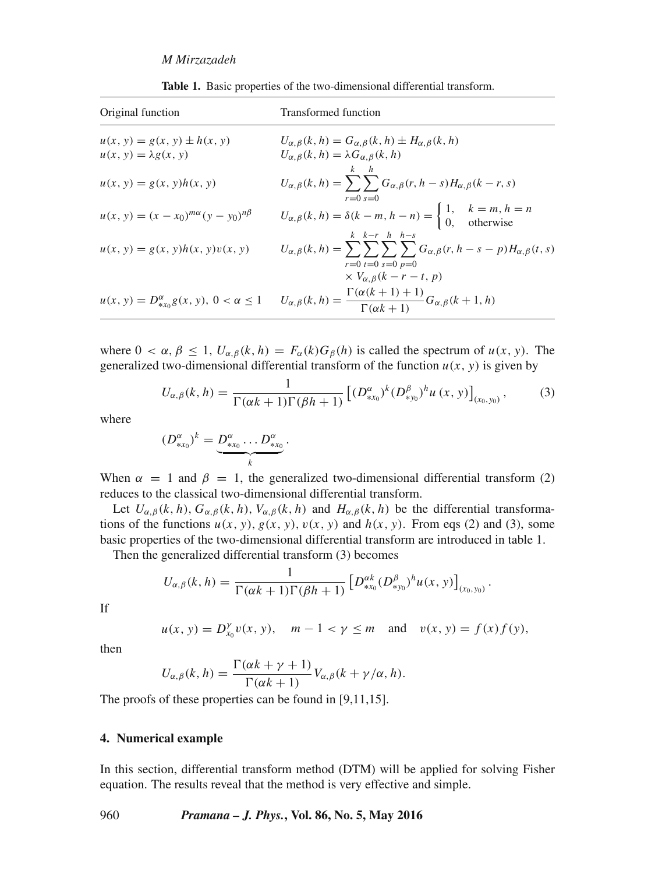| Original function                                 | Transformed function                                                                                                                                                     |
|---------------------------------------------------|--------------------------------------------------------------------------------------------------------------------------------------------------------------------------|
| $u(x, y) = g(x, y) \pm h(x, y)$                   | $U_{\alpha,\beta}(k,h) = G_{\alpha,\beta}(k,h) \pm H_{\alpha,\beta}(k,h)$                                                                                                |
| $u(x, y) = \lambda g(x, y)$                       | $U_{\alpha,\beta}(k, h) = \lambda G_{\alpha,\beta}(k, h)$                                                                                                                |
| $u(x, y) = g(x, y)h(x, y)$                        | $k-h$<br>$U_{\alpha,\beta}(k,h) = \sum \sum G_{\alpha,\beta}(r,h-s)H_{\alpha,\beta}(k-r,s)$<br>$r = 0$ s=0                                                               |
| $u(x, y) = (x - x_0)^{m\alpha}(y - y_0)^{n\beta}$ | $U_{\alpha,\beta}(k, h) = \delta(k - m, h - n) = \begin{cases} 1, & k = m, h = n \\ 0, & \text{otherwise} \end{cases}$<br>$k \thinspace k-r \thinspace h \thinspace h-s$ |
| $u(x, y) = g(x, y)h(x, y)v(x, y)$                 | $U_{\alpha,\beta}(k,h) = \sum_{\alpha,\beta} \sum_{\alpha,\beta} \sum_{\beta,\beta} G_{\alpha,\beta}(r,h-s-p) H_{\alpha,\beta}(t,s)$<br>$r=0$ t=0 s=0 p=0                |
|                                                   | $\times V_{\alpha,\beta}(k-r-t, p)$                                                                                                                                      |
|                                                   | $u(x, y) = D_{*x_0}^{\alpha} g(x, y), 0 < \alpha \le 1$ $U_{\alpha, \beta}(k, h) = \frac{\Gamma(\alpha(k+1) + 1)}{\Gamma(\alpha k + 1)} G_{\alpha, \beta}(k+1, h)$       |

**Table 1.** Basic properties of the two-dimensional differential transform.

where  $0 < \alpha, \beta \le 1$ ,  $U_{\alpha,\beta}(k, h) = F_{\alpha}(k)G_{\beta}(h)$  is called the spectrum of  $u(x, y)$ . The generalized two-dimensional differential transform of the function  $u(x, y)$  is given by

$$
U_{\alpha,\beta}(k,h) = \frac{1}{\Gamma(\alpha k + 1)\Gamma(\beta h + 1)} \left[ (D_{*x_0}^{\alpha})^k (D_{*y_0}^{\beta})^h u(x, y) \right]_{(x_0, y_0)},
$$
(3)

where

$$
(D_{\ast x_0}^\alpha)^k = \underbrace{D_{\ast x_0}^\alpha \dots D_{\ast x_0}^\alpha}_{k}
$$

When  $\alpha = 1$  and  $\beta = 1$ , the generalized two-dimensional differential transform (2) reduces to the classical two-dimensional differential transform reduces to the classical two-dimensional differential transform.

Let  $U_{\alpha,\beta}(k, h)$ ,  $G_{\alpha,\beta}(k, h)$ ,  $V_{\alpha,\beta}(k, h)$  and  $H_{\alpha,\beta}(k, h)$  be the differential transformations of the functions  $u(x, y), g(x, y), v(x, y)$  and  $h(x, y)$ . From eqs (2) and (3), some basic properties of the two-dimensional differential transform are introduced in table 1.

Then the generalized differential transform (3) becomes

$$
U_{\alpha,\beta}(k,h)=\frac{1}{\Gamma(\alpha k+1)\Gamma(\beta h+1)}\left[D_{*x_0}^{\alpha k}(D_{*y_0}^{\beta})^h u(x,y)\right]_{(x_0,y_0)}.
$$

If

$$
u(x, y) = D_{x_0}^{\gamma} v(x, y), \quad m - 1 < \gamma \le m
$$
 and  $v(x, y) = f(x)f(y),$ 

then

$$
U_{\alpha,\beta}(k,h) = \frac{\Gamma(\alpha k + \gamma + 1)}{\Gamma(\alpha k + 1)} V_{\alpha,\beta}(k + \gamma/\alpha, h).
$$

The proofs of these properties can be found in [9,11,15].

# **4. Numerical example**

In this section, differential transform method (DTM) will be applied for solving Fisher equation. The results reveal that the method is very effective and simple.

# 960 *Pramana – J. Phys.***, Vol. 86, No. 5, May 2016**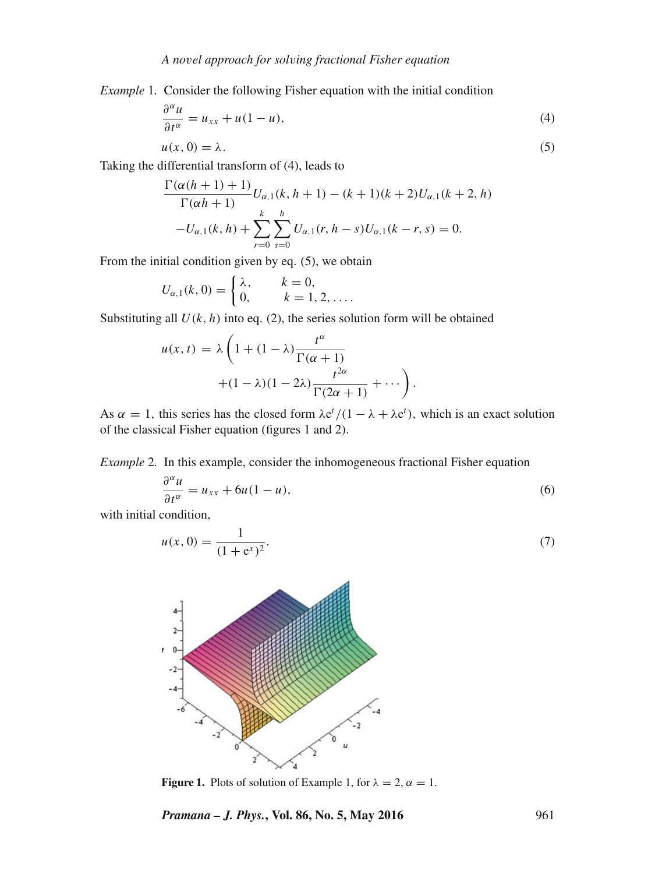*Example* 1*.* Consider the following Fisher equation with the initial condition

$$
\frac{\partial^{\alpha} u}{\partial t^{\alpha}} = u_{xx} + u(1 - u),\tag{4}
$$

$$
u(x, 0) = \lambda.
$$
 (5)  
Taking the differential transform of (4), leads to

$$
\frac{\Gamma(\alpha(h+1)+1)}{\Gamma(\alpha h+1)}U_{\alpha,1}(k, h+1) - (k+1)(k+2)U_{\alpha,1}(k+2, h) -U_{\alpha,1}(k, h) + \sum_{r=0}^{k} \sum_{s=0}^{h} U_{\alpha,1}(r, h-s)U_{\alpha,1}(k-r, s) = 0.
$$

From the initial condition given by eq. (5), we obtain

$$
U_{\alpha,1}(k,0) = \begin{cases} \lambda, & k = 0, \\ 0, & k = 1, 2, \dots \end{cases}
$$

Substituting all  $U(k, h)$  into eq. (2), the series solution form will be obtained

$$
u(x,t) = \lambda \left( 1 + (1 - \lambda) \frac{t^{\alpha}}{\Gamma(\alpha + 1)} + (1 - \lambda)(1 - 2\lambda) \frac{t^{2\alpha}}{\Gamma(2\alpha + 1)} + \cdots \right).
$$

As  $\alpha = 1$ , this series has the closed form  $\lambda e^{t}/(1 - \lambda + \lambda e^{t})$ , which is an exact solution of the classical Fisher equation (figures 1 and 2) of the classical Fisher equation (figures 1 and 2).

*Example* 2*.* In this example, consider the inhomogeneous fractional Fisher equation

$$
\frac{\partial^{\alpha} u}{\partial t^{\alpha}} = u_{xx} + 6u(1 - u),
$$
\n(6)

with initial condition,

$$
u(x, 0) = \frac{1}{(1 + e^x)^2}.
$$
 (7)



**Figure 1.** Plots of solution of Example 1, for  $\lambda = 2$ ,  $\alpha = 1$ .

*Pramana – J. Phys.***, Vol. 86, No. 5, May 2016** 961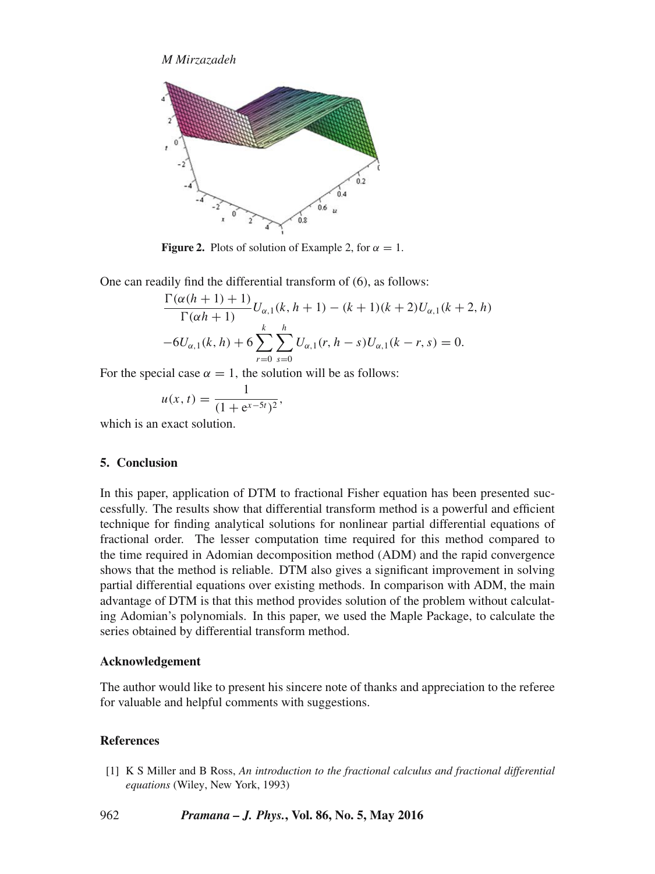*M Mirzazadeh*



**Figure 2.** Plots of solution of Example 2, for  $\alpha = 1$ .

One can readily find the differential transform of (6), as follows:

$$
\frac{\Gamma(\alpha(h+1)+1)}{\Gamma(\alpha h+1)}U_{\alpha,1}(k, h+1) - (k+1)(k+2)U_{\alpha,1}(k+2, h)
$$

$$
-6U_{\alpha,1}(k, h) + 6\sum_{r=0}^{k} \sum_{s=0}^{h} U_{\alpha,1}(r, h-s)U_{\alpha,1}(k-r, s) = 0.
$$

For the special case  $\alpha = 1$ , the solution will be as follows:

$$
u(x, t) = \frac{1}{(1 + e^{x - 5t})^2},
$$
  
which is an exact solution.

## **5. Conclusion**

In this paper, application of DTM to fractional Fisher equation has been presented successfully. The results show that differential transform method is a powerful and efficient technique for finding analytical solutions for nonlinear partial differential equations of fractional order. The lesser computation time required for this method compared to the time required in Adomian decomposition method (ADM) and the rapid convergence shows that the method is reliable. DTM also gives a significant improvement in solving partial differential equations over existing methods. In comparison with ADM, the main advantage of DTM is that this method provides solution of the problem without calculating Adomian's polynomials. In this paper, we used the Maple Package, to calculate the series obtained by differential transform method.

# **Acknowledgement**

The author would like to present his sincere note of thanks and appreciation to the referee for valuable and helpful comments with suggestions.

# **References**

[1] K S Miller and B Ross, *An introduction to the fractional calculus and fractional differential equations* (Wiley, New York, 1993)